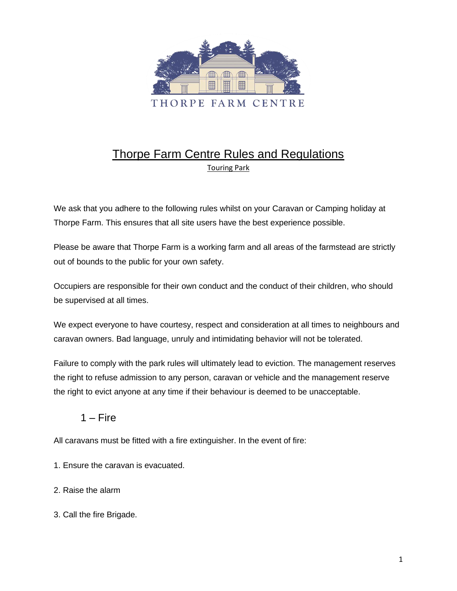

# Thorpe Farm Centre Rules and Regulations Touring Park

We ask that you adhere to the following rules whilst on your Caravan or Camping holiday at Thorpe Farm. This ensures that all site users have the best experience possible.

Please be aware that Thorpe Farm is a working farm and all areas of the farmstead are strictly out of bounds to the public for your own safety.

Occupiers are responsible for their own conduct and the conduct of their children, who should be supervised at all times.

We expect everyone to have courtesy, respect and consideration at all times to neighbours and caravan owners. Bad language, unruly and intimidating behavior will not be tolerated.

Failure to comply with the park rules will ultimately lead to eviction. The management reserves the right to refuse admission to any person, caravan or vehicle and the management reserve the right to evict anyone at any time if their behaviour is deemed to be unacceptable.

## $1 -$ Fire

All caravans must be fitted with a fire extinguisher. In the event of fire:

- 1. Ensure the caravan is evacuated.
- 2. Raise the alarm
- 3. Call the fire Brigade.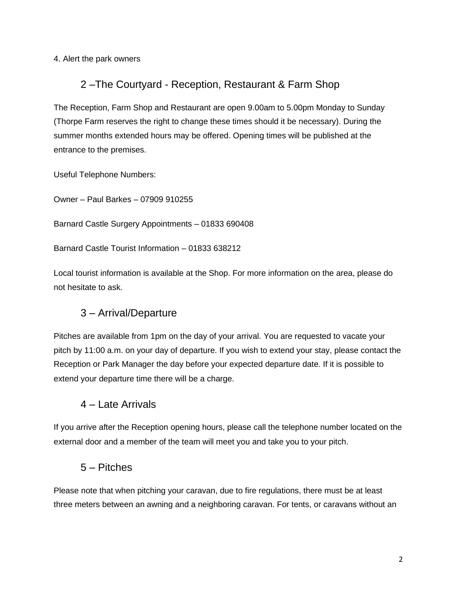4. Alert the park owners

## 2 –The Courtyard - Reception, Restaurant & Farm Shop

The Reception, Farm Shop and Restaurant are open 9.00am to 5.00pm Monday to Sunday (Thorpe Farm reserves the right to change these times should it be necessary). During the summer months extended hours may be offered. Opening times will be published at the entrance to the premises.

Useful Telephone Numbers:

Owner – Paul Barkes – 07909 910255

Barnard Castle Surgery Appointments – 01833 690408

Barnard Castle Tourist Information – 01833 638212

Local tourist information is available at the Shop. For more information on the area, please do not hesitate to ask.

## 3 – Arrival/Departure

Pitches are available from 1pm on the day of your arrival. You are requested to vacate your pitch by 11:00 a.m. on your day of departure. If you wish to extend your stay, please contact the Reception or Park Manager the day before your expected departure date. If it is possible to extend your departure time there will be a charge.

## 4 – Late Arrivals

If you arrive after the Reception opening hours, please call the telephone number located on the external door and a member of the team will meet you and take you to your pitch.

## 5 – Pitches

Please note that when pitching your caravan, due to fire regulations, there must be at least three meters between an awning and a neighboring caravan. For tents, or caravans without an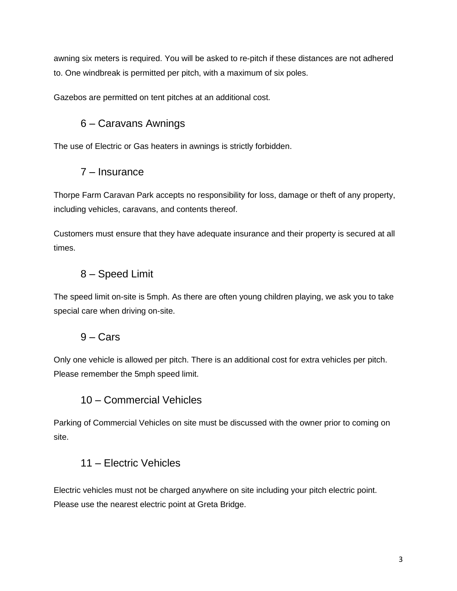awning six meters is required. You will be asked to re-pitch if these distances are not adhered to. One windbreak is permitted per pitch, with a maximum of six poles.

Gazebos are permitted on tent pitches at an additional cost.

## 6 – Caravans Awnings

The use of Electric or Gas heaters in awnings is strictly forbidden.

## 7 – Insurance

Thorpe Farm Caravan Park accepts no responsibility for loss, damage or theft of any property, including vehicles, caravans, and contents thereof.

Customers must ensure that they have adequate insurance and their property is secured at all times.

## 8 – Speed Limit

The speed limit on-site is 5mph. As there are often young children playing, we ask you to take special care when driving on-site.

## 9 – Cars

Only one vehicle is allowed per pitch. There is an additional cost for extra vehicles per pitch. Please remember the 5mph speed limit.

## 10 – Commercial Vehicles

Parking of Commercial Vehicles on site must be discussed with the owner prior to coming on site.

## 11 – Electric Vehicles

Electric vehicles must not be charged anywhere on site including your pitch electric point. Please use the nearest electric point at Greta Bridge.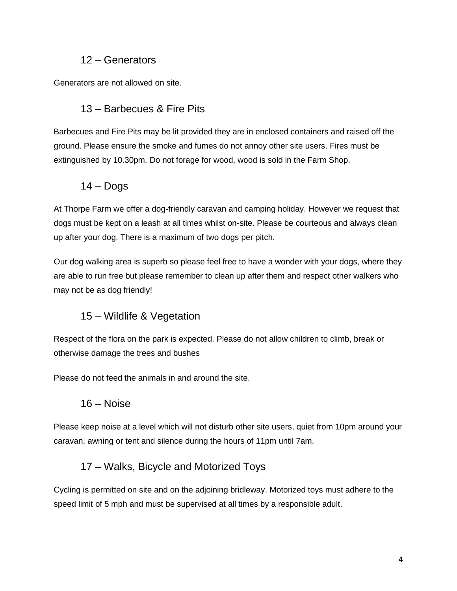#### 12 – Generators

Generators are not allowed on site.

#### 13 – Barbecues & Fire Pits

Barbecues and Fire Pits may be lit provided they are in enclosed containers and raised off the ground. Please ensure the smoke and fumes do not annoy other site users. Fires must be extinguished by 10.30pm. Do not forage for wood, wood is sold in the Farm Shop.

## $14 -$ Dogs

At Thorpe Farm we offer a dog-friendly caravan and camping holiday. However we request that dogs must be kept on a leash at all times whilst on-site. Please be courteous and always clean up after your dog. There is a maximum of two dogs per pitch.

Our dog walking area is superb so please feel free to have a wonder with your dogs, where they are able to run free but please remember to clean up after them and respect other walkers who may not be as dog friendly!

## 15 – Wildlife & Vegetation

Respect of the flora on the park is expected. Please do not allow children to climb, break or otherwise damage the trees and bushes

Please do not feed the animals in and around the site.

#### 16 – Noise

Please keep noise at a level which will not disturb other site users, quiet from 10pm around your caravan, awning or tent and silence during the hours of 11pm until 7am.

## 17 – Walks, Bicycle and Motorized Toys

Cycling is permitted on site and on the adjoining bridleway. Motorized toys must adhere to the speed limit of 5 mph and must be supervised at all times by a responsible adult.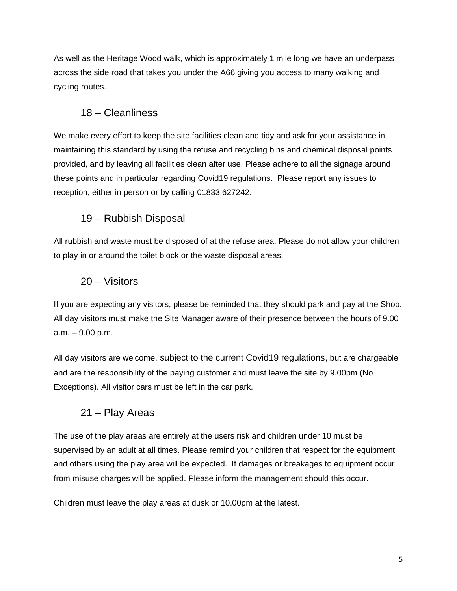As well as the Heritage Wood walk, which is approximately 1 mile long we have an underpass across the side road that takes you under the A66 giving you access to many walking and cycling routes.

### 18 – Cleanliness

We make every effort to keep the site facilities clean and tidy and ask for your assistance in maintaining this standard by using the refuse and recycling bins and chemical disposal points provided, and by leaving all facilities clean after use. Please adhere to all the signage around these points and in particular regarding Covid19 regulations. Please report any issues to reception, either in person or by calling 01833 627242.

## 19 – Rubbish Disposal

All rubbish and waste must be disposed of at the refuse area. Please do not allow your children to play in or around the toilet block or the waste disposal areas.

## 20 – Visitors

If you are expecting any visitors, please be reminded that they should park and pay at the Shop. All day visitors must make the Site Manager aware of their presence between the hours of 9.00 a.m. – 9.00 p.m.

All day visitors are welcome, subject to the current Covid19 regulations, but are chargeable and are the responsibility of the paying customer and must leave the site by 9.00pm (No Exceptions). All visitor cars must be left in the car park.

## 21 – Play Areas

The use of the play areas are entirely at the users risk and children under 10 must be supervised by an adult at all times. Please remind your children that respect for the equipment and others using the play area will be expected. If damages or breakages to equipment occur from misuse charges will be applied. Please inform the management should this occur.

Children must leave the play areas at dusk or 10.00pm at the latest.